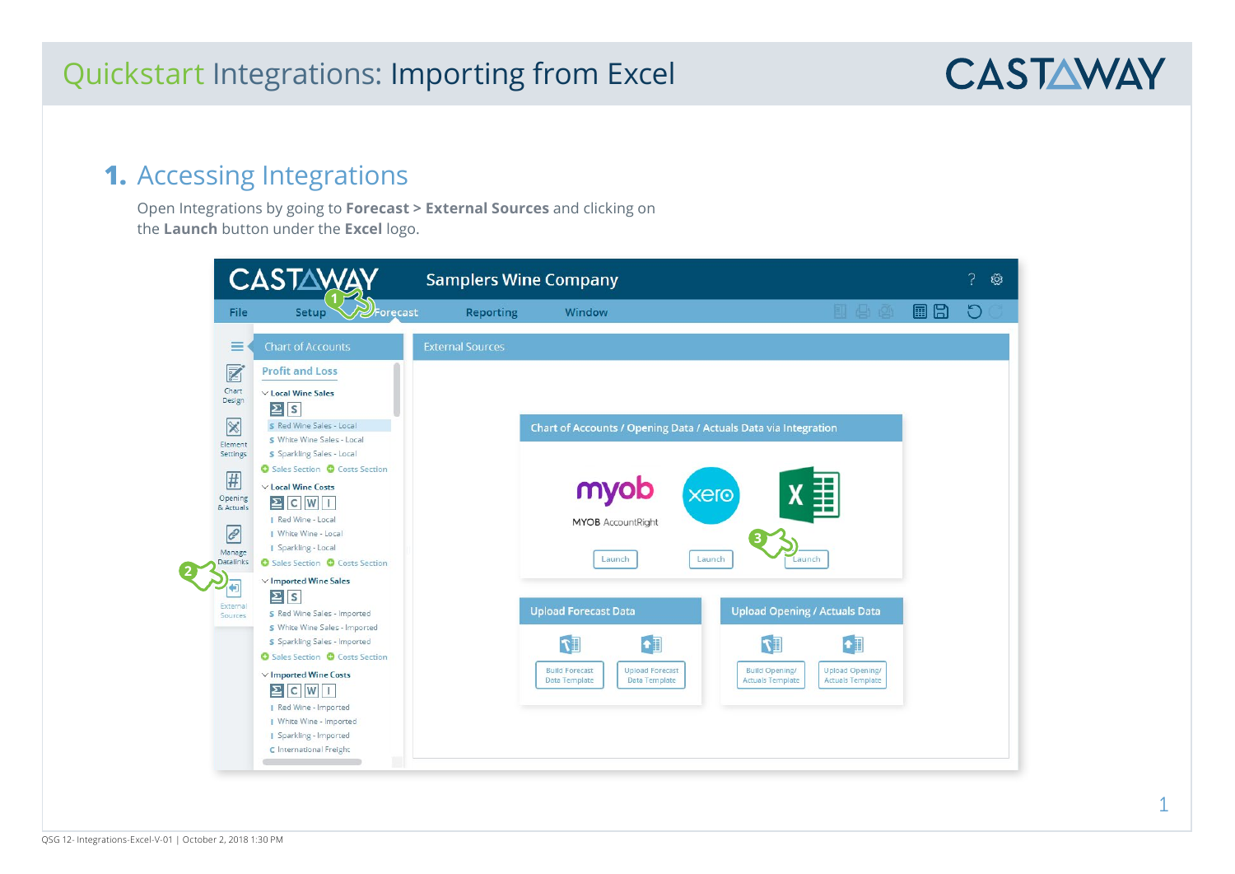#### **1.** Accessing Integrations

Open Integrations by going to **Forecast > External Sources** and clicking on the **Launch** button under the **Excel** logo.



**CASTAWAY**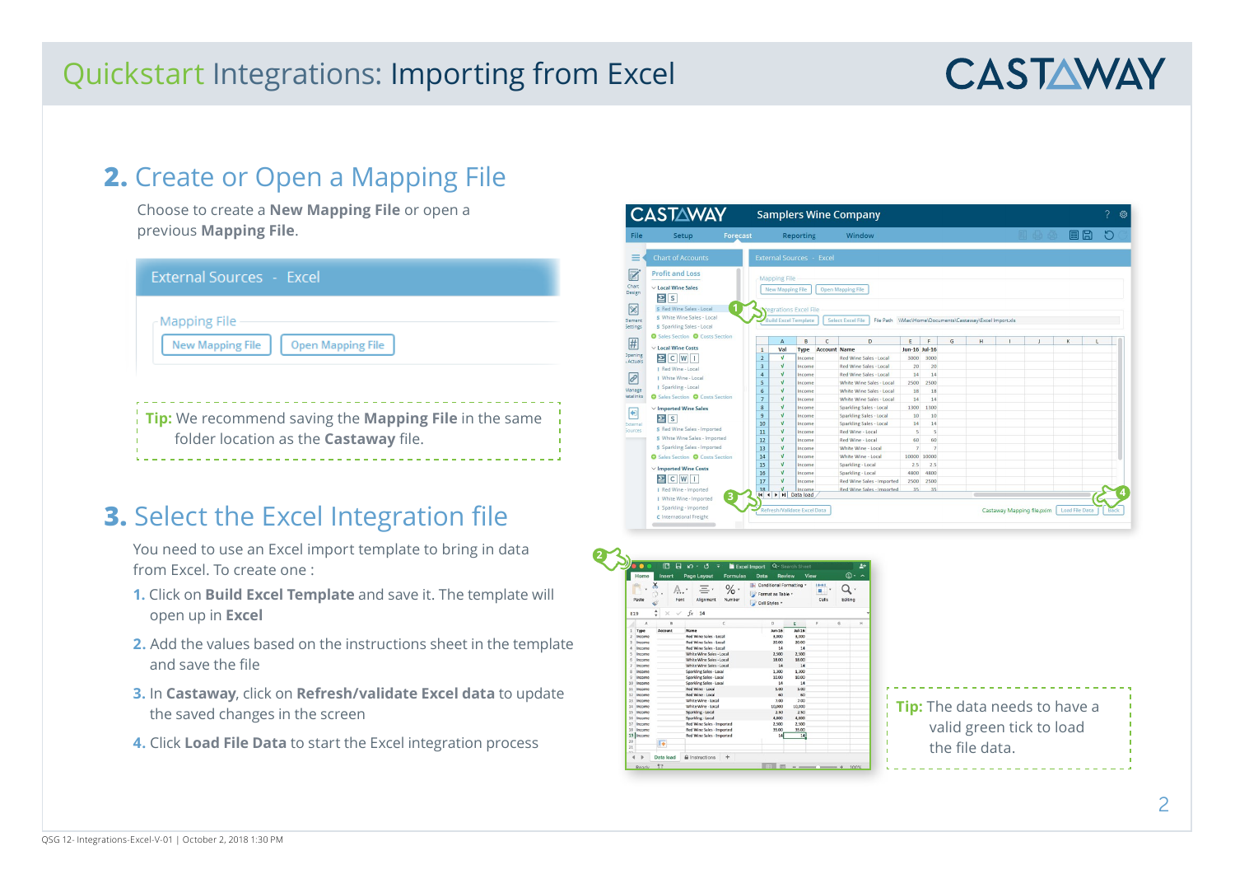# **CASTAWAY**

### **2.** Create or Open a Mapping File

Choose to create a **New Mapping File** or open a previous **Mapping File**.

| External Sources - Excel                                                                                     |
|--------------------------------------------------------------------------------------------------------------|
| Mapping File<br><b>New Mapping File</b><br><b>Open Mapping File</b>                                          |
| <b>Tip:</b> We recommend saving the <b>Mapping File</b> in the same<br>folder location as the Castaway file. |

## **3.** Select the Excel Integration file

You need to use an Excel import template to bring in data from Excel. To create one :

- **1.** Click on **Build Excel Template** and save it. The template will open up in **Excel**
- **2.** Add the values based on the instructions sheet in the template and save the file
- **3.** In **Castaway**, click on **Refresh/validate Excel data** to update the saved changes in the screen
- **4.** Click **Load File Data** to start the Excel integration process

|                           | <b>CASTAWAY</b>                               |                |                                                                             |                              |                                 |                     | <b>Samplers Wine Company</b>    |                |                |   |                                                        |                            |                       |             | ශ |
|---------------------------|-----------------------------------------------|----------------|-----------------------------------------------------------------------------|------------------------------|---------------------------------|---------------------|---------------------------------|----------------|----------------|---|--------------------------------------------------------|----------------------------|-----------------------|-------------|---|
| File                      | Setup                                         | Forecast       |                                                                             |                              | <b>Reporting</b>                |                     | Window                          |                |                |   |                                                        | 11 台 20                    | 圖<br>Ħ                |             |   |
| ≡                         | <b>Chart of Accounts</b>                      |                |                                                                             |                              | <b>External Sources - Excel</b> |                     |                                 |                |                |   |                                                        |                            |                       |             |   |
| Z                         | <b>Profit and Loss</b>                        |                |                                                                             |                              |                                 |                     |                                 |                |                |   |                                                        |                            |                       |             |   |
| Chart                     | $\vee$ Local Wine Sales                       |                |                                                                             | <b>Mapping File</b>          |                                 |                     |                                 |                |                |   |                                                        |                            |                       |             |   |
| Design                    | $\Sigma$ s                                    |                | <b>Open Mapping File</b><br><b>New Mapping File</b><br>egrations Excel File |                              |                                 |                     |                                 |                |                |   |                                                        |                            |                       |             |   |
| $\overline{\mathbb{X}}$   | S Red Wine Sales - Local                      | $\overline{1}$ |                                                                             |                              |                                 |                     |                                 |                |                |   |                                                        |                            |                       |             |   |
|                           | S White Wine Sales - Local                    |                |                                                                             |                              |                                 |                     |                                 |                |                |   |                                                        |                            |                       |             |   |
| Element<br>Settings       | S Sparkling Sales - Local                     |                |                                                                             | <b>Build Excel Template</b>  |                                 |                     | <b>Select Excel File</b>        |                |                |   | File Path WMacWomeWDocuments\Castaway\Excel Import.xls |                            |                       |             |   |
|                           | <b>O</b> Sales Section <b>O</b> Costs Section |                |                                                                             | $\overline{A}$               | B                               | $\mathsf{C}$        | D                               | E              | F              | G | H                                                      | J                          | K                     |             |   |
| #                         | $\vee$ Local Wine Costs                       |                | $\mathbf{1}$                                                                | Val                          | <b>Type</b>                     | <b>Account Name</b> |                                 | Jun-16 Jul-16  |                |   |                                                        |                            |                       |             |   |
| <b>Opening</b><br>Actuals | $\sum$ C W I                                  |                | $\overline{2}$                                                              | $\sqrt{ }$                   | Income                          |                     | <b>Red Wine Sales - Local</b>   | 3000           | 3000           |   |                                                        |                            |                       |             |   |
|                           | I Red Wine - Local                            |                | $\overline{\mathbf{3}}$                                                     | $\sqrt{ }$                   | Income                          |                     | Red Wine Sales - Local          | 20             | 20             |   |                                                        |                            |                       |             |   |
| $\mathcal{C}$             | I White Wine - Local                          |                | $\overline{a}$                                                              | $\mathbf{v}$                 | Income                          |                     | Red Wine Sales - Local          | 14             | 14             |   |                                                        |                            |                       |             |   |
|                           | Sparkling - Local                             |                | 5                                                                           | $\mathbf{v}$                 | Income                          |                     | White Wine Sales - Local        | 2500           | 2500           |   |                                                        |                            |                       |             |   |
| Manage                    |                                               |                | 6                                                                           | $\mathbf{v}$                 | Income                          |                     | White Wine Sales - Local        | 18             | 18             |   |                                                        |                            |                       |             |   |
| latalinks                 | <b>O</b> Sales Section <b>O</b> Costs Section |                | $\overline{7}$                                                              | $\mathbf{v}$                 | Income                          |                     | <b>White Wine Sales - Local</b> | 14             | 14             |   |                                                        |                            |                       |             |   |
|                           | $\vee$ Imported Wine Sales                    |                | $\mathbf{s}$                                                                | $\sqrt{ }$                   | Income                          |                     | Sparkling Sales - Local         | 1300           | 1300           |   |                                                        |                            |                       |             |   |
| Ð                         | $\mathbf{E}$ s                                |                | 9                                                                           | $\sqrt{ }$                   | Income                          |                     | <b>Sparkling Sales - Local</b>  | 10             | 10             |   |                                                        |                            |                       |             |   |
| External                  |                                               |                | 10                                                                          | $\mathbf{v}$                 | Income                          |                     | <b>Sparkling Sales - Local</b>  | 14             | 14             |   |                                                        |                            |                       |             |   |
| <b>Sources</b>            | S Red Wine Sales - Imported                   |                | 11                                                                          | $\sqrt{ }$                   | Income                          |                     | Red Wine - Local                | $\overline{5}$ | $\overline{5}$ |   |                                                        |                            |                       |             |   |
|                           | S White Wine Sales - Imported                 |                | 12                                                                          | $\sqrt{ }$                   | Income                          |                     | Red Wine - Local                | 60             | 60             |   |                                                        |                            |                       |             |   |
|                           | S Sparkling Sales - Imported                  |                | 13                                                                          | $\sqrt{ }$                   | Income                          |                     | White Wine - Local              | $\overline{7}$ | $\overline{7}$ |   |                                                        |                            |                       |             |   |
|                           | <b>O</b> Sales Section <b>O</b> Costs Section |                | 14                                                                          | $\mathbf{v}$                 | Income                          |                     | White Wine - Local              | 10000 10000    |                |   |                                                        |                            |                       |             |   |
|                           | $\vee$ Imported Wine Costs                    |                | 15                                                                          | $\mathbf{v}$                 | Income                          |                     | Sparkling - Local               | 2.5            | 2.5            |   |                                                        |                            |                       |             |   |
|                           | $\Sigma$ C W I                                |                | 16                                                                          | $\mathbf{v}$                 | Income                          |                     | Sparkling - Local               | 4800           | 4800           |   |                                                        |                            |                       |             |   |
|                           |                                               |                | 17                                                                          | v                            | Income                          |                     | Red Wine Sales - Imported       | 2500           | 2500           |   |                                                        |                            |                       |             |   |
|                           | I Red Wine - Imported                         |                | 18<br>$ 4 $ 4                                                               | $\sqrt{ }$<br>I Il Data load | Income                          |                     | Red Wine Sales - Imported       | 35             | 35             |   |                                                        |                            |                       |             |   |
|                           | I White Wine - Imported                       | з              |                                                                             |                              |                                 |                     |                                 |                |                |   |                                                        |                            |                       |             |   |
|                           | I Sparkling - Imported                        |                |                                                                             |                              | Refresh/Validate Excel Data     |                     |                                 |                |                |   |                                                        | Castaway Mapping file.pxim | <b>Load File Data</b> | <b>Back</b> |   |
|                           | C International Freight                       |                |                                                                             |                              |                                 |                     |                                 |                |                |   |                                                        |                            |                       |             |   |
|                           |                                               |                |                                                                             |                              |                                 |                     |                                 |                |                |   |                                                        |                            |                       |             |   |



**Tip:** The data needs to have a valid green tick to load the file data.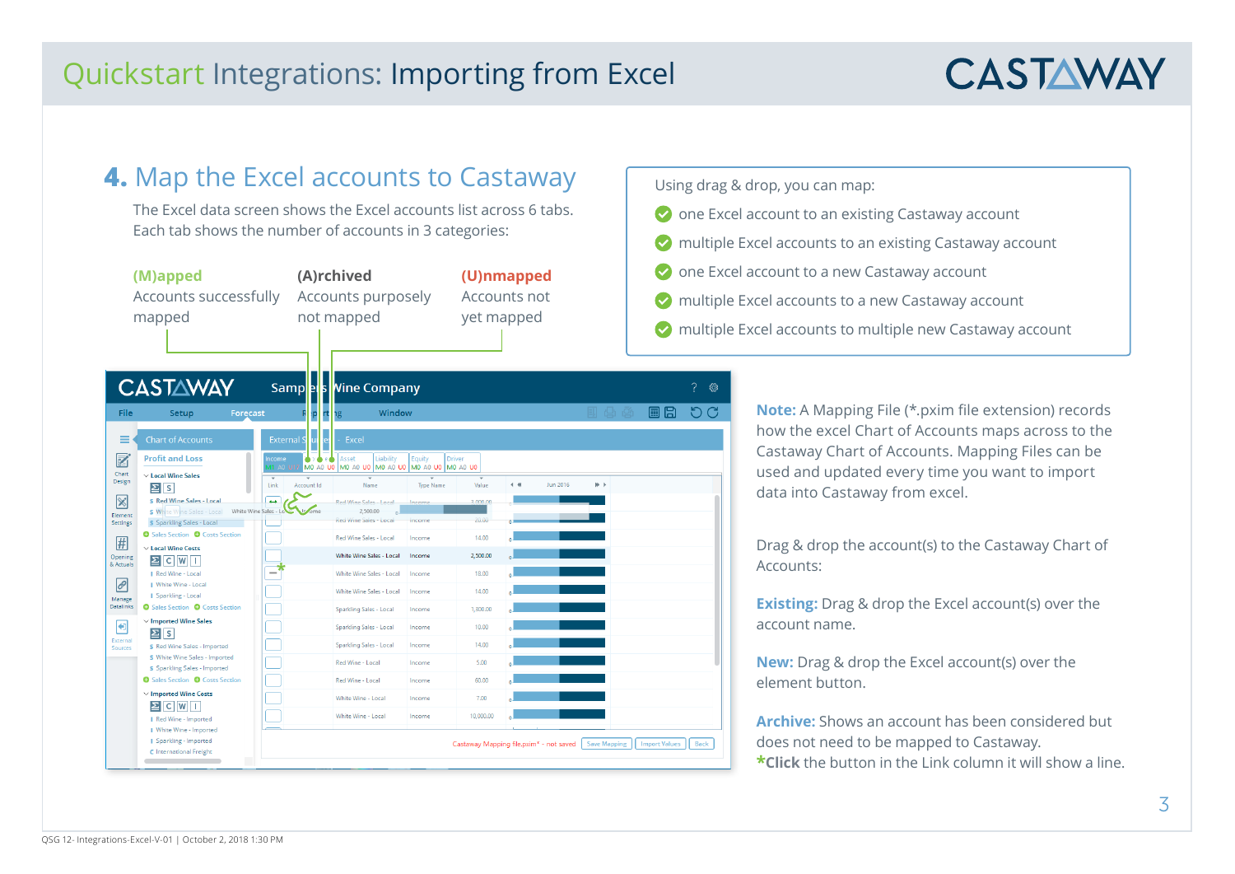